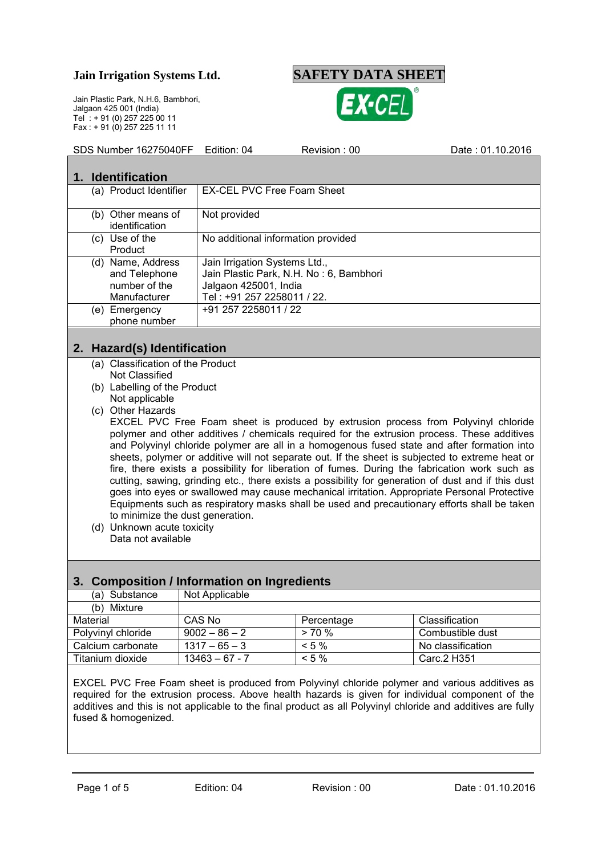**Jain Irrigation Systems Ltd. SAFETY DATA SHEET**

Jain Plastic Park, N.H.6, Bambhori, Jalgaon 425 001 (India) Tel : + 91 (0) 257 225 00 11 Fax : + 91 (0) 257 225 11 11



and Polyvinyl chloride polymer are all in a homogenous fused state and after formation into sheets, polymer or additive will not separate out. If the sheet is subjected to extreme heat or fire, there exists a possibility for liberation of fumes. During the fabrication work such as cutting, sawing, grinding etc., there exists a possibility for generation of dust and if this dust goes into eyes or swallowed may cause mechanical irritation. Appropriate Personal Protective Equipments such as respiratory masks shall be used and precautionary efforts shall be taken to minimize the dust generation.

(d) Unknown acute toxicity Data not available

### **3. Composition / Information on Ingredients**

| (a) Substance      | Not Applicable   |            |                   |
|--------------------|------------------|------------|-------------------|
| Mixture<br>(b)     |                  |            |                   |
| Material           | CAS No           | Percentage | Classification    |
| Polyvinyl chloride | $9002 - 86 - 2$  | $> 70\%$   | Combustible dust  |
| Calcium carbonate  | $1317 - 65 - 3$  | $< 5 \%$   | No classification |
| Titanium dioxide   | $13463 - 67 - 7$ | $< 5 \%$   | Carc. 2 H351      |

EXCEL PVC Free Foam sheet is produced from Polyvinyl chloride polymer and various additives as required for the extrusion process. Above health hazards is given for individual component of the additives and this is not applicable to the final product as all Polyvinyl chloride and additives are fully fused & homogenized.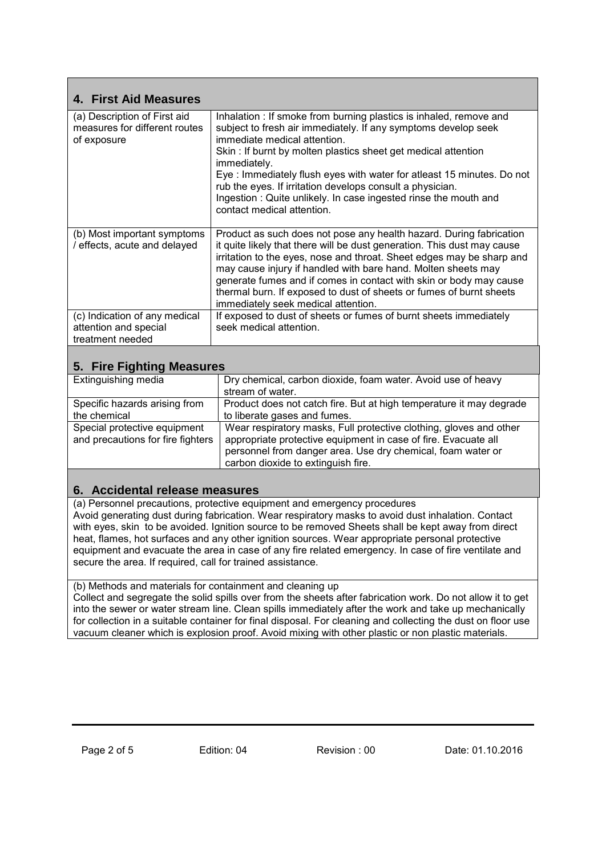| 4. First Aid Measures                                                        |                                                                                                                                                                                                                                                                                                                                                                                                                                                                                              |
|------------------------------------------------------------------------------|----------------------------------------------------------------------------------------------------------------------------------------------------------------------------------------------------------------------------------------------------------------------------------------------------------------------------------------------------------------------------------------------------------------------------------------------------------------------------------------------|
| (a) Description of First aid<br>measures for different routes<br>of exposure | Inhalation : If smoke from burning plastics is inhaled, remove and<br>subject to fresh air immediately. If any symptoms develop seek<br>immediate medical attention.<br>Skin: If burnt by molten plastics sheet get medical attention<br>immediately.<br>Eye: Immediately flush eyes with water for atleast 15 minutes. Do not<br>rub the eyes. If irritation develops consult a physician.<br>Ingestion: Quite unlikely. In case ingested rinse the mouth and<br>contact medical attention. |
| (b) Most important symptoms<br>/ effects, acute and delayed                  | Product as such does not pose any health hazard. During fabrication<br>it quite likely that there will be dust generation. This dust may cause<br>irritation to the eyes, nose and throat. Sheet edges may be sharp and<br>may cause injury if handled with bare hand. Molten sheets may<br>generate fumes and if comes in contact with skin or body may cause<br>thermal burn. If exposed to dust of sheets or fumes of burnt sheets<br>immediately seek medical attention.                 |
| (c) Indication of any medical<br>attention and special<br>treatment needed   | If exposed to dust of sheets or fumes of burnt sheets immediately<br>seek medical attention.                                                                                                                                                                                                                                                                                                                                                                                                 |

## **5. Fire Fighting Measures**

| Extinguishing media               | Dry chemical, carbon dioxide, foam water. Avoid use of heavy        |
|-----------------------------------|---------------------------------------------------------------------|
|                                   | stream of water.                                                    |
| Specific hazards arising from     | Product does not catch fire. But at high temperature it may degrade |
| the chemical                      | to liberate gases and fumes.                                        |
| Special protective equipment      | Wear respiratory masks, Full protective clothing, gloves and other  |
| and precautions for fire fighters | appropriate protective equipment in case of fire. Evacuate all      |
|                                   | personnel from danger area. Use dry chemical, foam water or         |
|                                   | carbon dioxide to extinguish fire.                                  |

### **6. Accidental release measures**

(a) Personnel precautions, protective equipment and emergency procedures Avoid generating dust during fabrication. Wear respiratory masks to avoid dust inhalation. Contact with eyes, skin to be avoided. Ignition source to be removed Sheets shall be kept away from direct heat, flames, hot surfaces and any other ignition sources. Wear appropriate personal protective equipment and evacuate the area in case of any fire related emergency. In case of fire ventilate and secure the area. If required, call for trained assistance.

(b) Methods and materials for containment and cleaning up

Collect and segregate the solid spills over from the sheets after fabrication work. Do not allow it to get into the sewer or water stream line. Clean spills immediately after the work and take up mechanically for collection in a suitable container for final disposal. For cleaning and collecting the dust on floor use vacuum cleaner which is explosion proof. Avoid mixing with other plastic or non plastic materials.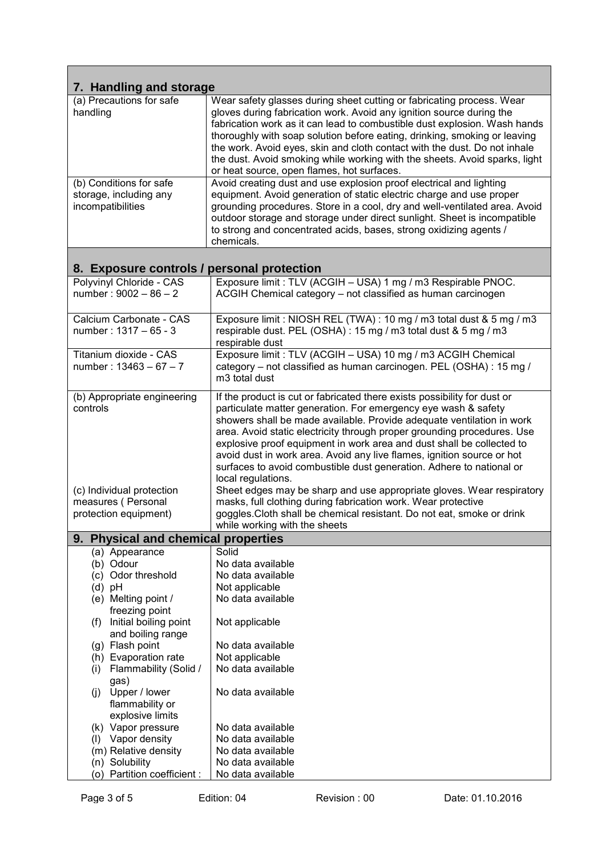| 7. Handling and storage                                                                                                                                                                                                              |                                                                                                                                                                                                                                                                                                                                                                                                                                                                                                                                                                                                                                                                                                                                                                                                      |  |
|--------------------------------------------------------------------------------------------------------------------------------------------------------------------------------------------------------------------------------------|------------------------------------------------------------------------------------------------------------------------------------------------------------------------------------------------------------------------------------------------------------------------------------------------------------------------------------------------------------------------------------------------------------------------------------------------------------------------------------------------------------------------------------------------------------------------------------------------------------------------------------------------------------------------------------------------------------------------------------------------------------------------------------------------------|--|
| (a) Precautions for safe<br>handling                                                                                                                                                                                                 | Wear safety glasses during sheet cutting or fabricating process. Wear<br>gloves during fabrication work. Avoid any ignition source during the<br>fabrication work as it can lead to combustible dust explosion. Wash hands<br>thoroughly with soap solution before eating, drinking, smoking or leaving<br>the work. Avoid eyes, skin and cloth contact with the dust. Do not inhale<br>the dust. Avoid smoking while working with the sheets. Avoid sparks, light<br>or heat source, open flames, hot surfaces.                                                                                                                                                                                                                                                                                     |  |
| (b) Conditions for safe<br>storage, including any<br>incompatibilities                                                                                                                                                               | Avoid creating dust and use explosion proof electrical and lighting<br>equipment. Avoid generation of static electric charge and use proper<br>grounding procedures. Store in a cool, dry and well-ventilated area. Avoid<br>outdoor storage and storage under direct sunlight. Sheet is incompatible<br>to strong and concentrated acids, bases, strong oxidizing agents /<br>chemicals.                                                                                                                                                                                                                                                                                                                                                                                                            |  |
| 8. Exposure controls / personal protection                                                                                                                                                                                           |                                                                                                                                                                                                                                                                                                                                                                                                                                                                                                                                                                                                                                                                                                                                                                                                      |  |
| Polyvinyl Chloride - CAS<br>number: $9002 - 86 - 2$                                                                                                                                                                                  | Exposure limit : TLV (ACGIH - USA) 1 mg / m3 Respirable PNOC.<br>ACGIH Chemical category - not classified as human carcinogen                                                                                                                                                                                                                                                                                                                                                                                                                                                                                                                                                                                                                                                                        |  |
| Calcium Carbonate - CAS<br>number: 1317 - 65 - 3                                                                                                                                                                                     | Exposure limit : NIOSH REL (TWA) : 10 mg / m3 total dust & 5 mg / m3<br>respirable dust. PEL (OSHA) : 15 mg / m3 total dust & 5 mg / m3<br>respirable dust                                                                                                                                                                                                                                                                                                                                                                                                                                                                                                                                                                                                                                           |  |
| Titanium dioxide - CAS<br>number: $13463 - 67 - 7$                                                                                                                                                                                   | Exposure limit : TLV (ACGIH - USA) 10 mg / m3 ACGIH Chemical<br>category - not classified as human carcinogen. PEL (OSHA) : 15 mg /<br>m <sub>3</sub> total dust                                                                                                                                                                                                                                                                                                                                                                                                                                                                                                                                                                                                                                     |  |
| (b) Appropriate engineering<br>controls<br>(c) Individual protection<br>measures (Personal<br>protection equipment)                                                                                                                  | If the product is cut or fabricated there exists possibility for dust or<br>particulate matter generation. For emergency eye wash & safety<br>showers shall be made available. Provide adequate ventilation in work<br>area. Avoid static electricity through proper grounding procedures. Use<br>explosive proof equipment in work area and dust shall be collected to<br>avoid dust in work area. Avoid any live flames, ignition source or hot<br>surfaces to avoid combustible dust generation. Adhere to national or<br>local regulations.<br>Sheet edges may be sharp and use appropriate gloves. Wear respiratory<br>masks, full clothing during fabrication work. Wear protective<br>goggles. Cloth shall be chemical resistant. Do not eat, smoke or drink<br>while working with the sheets |  |
| <b>Physical and chemical properties</b><br>9.                                                                                                                                                                                        |                                                                                                                                                                                                                                                                                                                                                                                                                                                                                                                                                                                                                                                                                                                                                                                                      |  |
| (a) Appearance<br>(b) Odour<br>(c) Odor threshold<br>(d) pH<br>(e) Melting point /<br>freezing point<br>Initial boiling point<br>(f)<br>and boiling range<br>(g) Flash point<br>(h) Evaporation rate<br>Flammability (Solid /<br>(i) | Solid<br>No data available<br>No data available<br>Not applicable<br>No data available<br>Not applicable<br>No data available<br>Not applicable<br>No data available                                                                                                                                                                                                                                                                                                                                                                                                                                                                                                                                                                                                                                 |  |
| gas)<br>Upper / lower<br>(j)<br>flammability or<br>explosive limits<br>(k) Vapor pressure<br>Vapor density<br>(1)<br>(m) Relative density<br>(n) Solubility<br>(o) Partition coefficient :                                           | No data available<br>No data available<br>No data available<br>No data available<br>No data available<br>No data available                                                                                                                                                                                                                                                                                                                                                                                                                                                                                                                                                                                                                                                                           |  |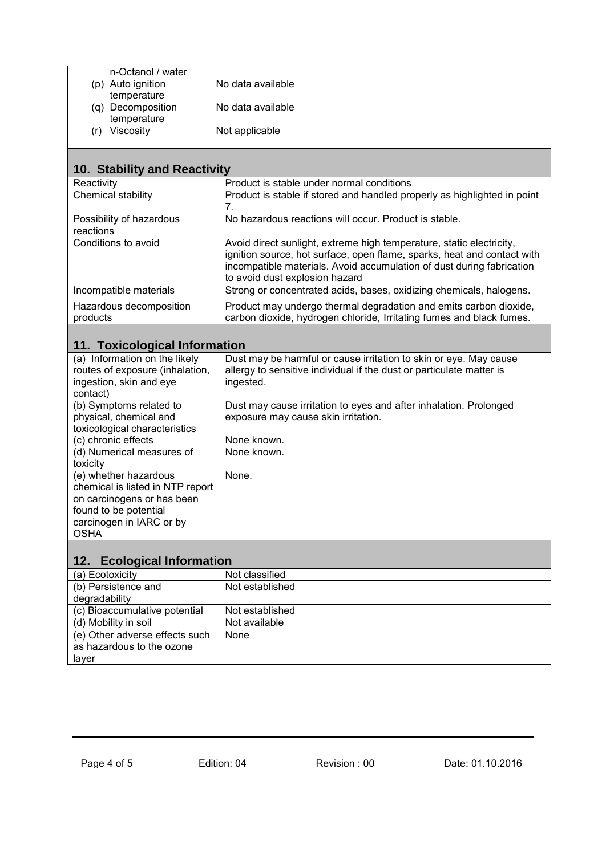|     | n-Octanol / water |                   |
|-----|-------------------|-------------------|
|     | (p) Auto ignition | No data available |
|     | temperature       |                   |
|     | (q) Decomposition | No data available |
|     | temperature       |                   |
| (r) | Viscosity         | Not applicable    |
|     |                   |                   |

| 10. Stability and Reactivity          |                                                                                                                                                                                                                                                            |  |
|---------------------------------------|------------------------------------------------------------------------------------------------------------------------------------------------------------------------------------------------------------------------------------------------------------|--|
| Reactivity                            | Product is stable under normal conditions                                                                                                                                                                                                                  |  |
| Chemical stability                    | Product is stable if stored and handled properly as highlighted in point<br>7.                                                                                                                                                                             |  |
| Possibility of hazardous<br>reactions | No hazardous reactions will occur. Product is stable.                                                                                                                                                                                                      |  |
| Conditions to avoid                   | Avoid direct sunlight, extreme high temperature, static electricity,<br>ignition source, hot surface, open flame, sparks, heat and contact with<br>incompatible materials. Avoid accumulation of dust during fabrication<br>to avoid dust explosion hazard |  |
| Incompatible materials                | Strong or concentrated acids, bases, oxidizing chemicals, halogens.                                                                                                                                                                                        |  |
| Hazardous decomposition<br>products   | Product may undergo thermal degradation and emits carbon dioxide,<br>carbon dioxide, hydrogen chloride, Irritating fumes and black fumes.                                                                                                                  |  |

# **11. Toxicological Information**

| (a) Information on the likely<br>routes of exposure (inhalation, | Dust may be harmful or cause irritation to skin or eye. May cause<br>allergy to sensitive individual if the dust or particulate matter is |
|------------------------------------------------------------------|-------------------------------------------------------------------------------------------------------------------------------------------|
| ingestion, skin and eye                                          | ingested.                                                                                                                                 |
| contact)                                                         |                                                                                                                                           |
| (b) Symptoms related to                                          | Dust may cause irritation to eyes and after inhalation. Prolonged                                                                         |
| physical, chemical and                                           | exposure may cause skin irritation.                                                                                                       |
| toxicological characteristics                                    |                                                                                                                                           |
| (c) chronic effects                                              | None known.                                                                                                                               |
| (d) Numerical measures of                                        | None known.                                                                                                                               |
| toxicity                                                         |                                                                                                                                           |
| (e) whether hazardous                                            | None.                                                                                                                                     |
| chemical is listed in NTP report                                 |                                                                                                                                           |
| on carcinogens or has been                                       |                                                                                                                                           |
| found to be potential                                            |                                                                                                                                           |
| carcinogen in IARC or by                                         |                                                                                                                                           |
| <b>OSHA</b>                                                      |                                                                                                                                           |

| 12. Ecological Information     |                 |
|--------------------------------|-----------------|
| (a) Ecotoxicity                | Not classified  |
| (b) Persistence and            | Not established |
| degradability                  |                 |
| (c) Bioaccumulative potential  | Not established |
| (d) Mobility in soil           | Not available   |
| (e) Other adverse effects such | None            |
| as hazardous to the ozone      |                 |
| layer                          |                 |